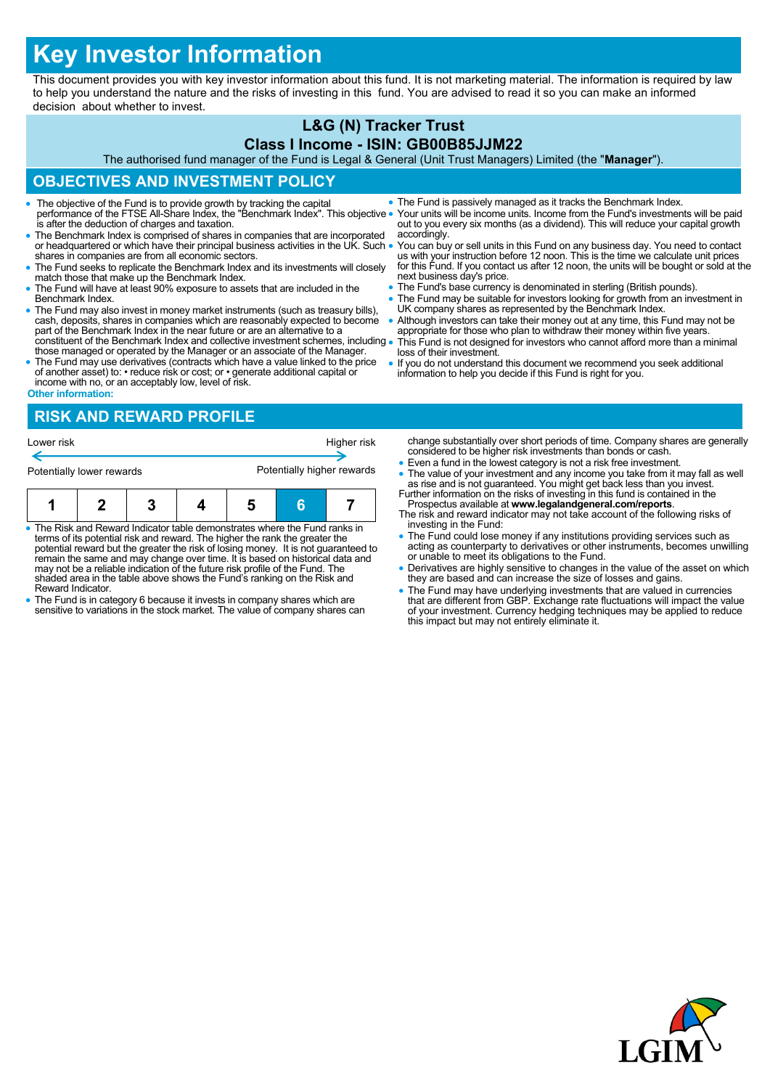# **Key Investor Information**

This document provides you with key investor information about this fund. It is not marketing material. The information is required by law to help you understand the nature and the risks of investing in this fund. You are advised to read it so you can make an informed decision about whether to invest.

#### **L&G (N) Tracker Trust Class I Income - ISIN: GB00B85JJM22**

The authorised fund manager of the Fund is Legal & General (Unit Trust Managers) Limited (the "**Manager**").

# **OBJECTIVES AND INVESTMENT POLICY**

- The objective of the Fund is to provide growth by tracking the capital performance of the FTSE All-Share Index, the "Benchmark Index". This objective is after the deduction of charges and taxation.
- The Benchmark Index is comprised of shares in companies that are incorporated or headquartered or which have their principal business activities in the UK. Such . shares in companies are from all economic sectors.
- The Fund seeks to replicate the Benchmark Index and its investments will closely match those that make up the Benchmark Index.
- The Fund will have at least 90% exposure to assets that are included in the Benchmark Index.
- The Fund may also invest in money market instruments (such as treasury bills), cash, deposits, shares in companies which are reasonably expected to become part of the Benchmark Index in the near future or are an alternat constituent of the Benchmark Index and collective investment schemes, including
- those managed or operated by the Manager or an associate of the Manager. The Fund may use derivatives (contracts which have a value linked to the price
- of another asset) to: reduce risk or cost; or generate additional capital or income with no, or an acceptably low, level of risk. **Other information:**

## **RISK AND REWARD PROFILE**

| Lower risk                |  |  |  | Higher risk                |  |  |  |  |
|---------------------------|--|--|--|----------------------------|--|--|--|--|
| Potentially lower rewards |  |  |  | Potentially higher rewards |  |  |  |  |
|                           |  |  |  |                            |  |  |  |  |

| . The Diek and Dougral Indicator toble demonstrates where the Fund realis in |  |  |  |  |  |  |
|------------------------------------------------------------------------------|--|--|--|--|--|--|

- The Risk and Reward Indicator table demonstrates where the Fund ranks in<br>terms of its potential risk and reward. The higher the rank the greater the<br>potential reward but the greater the risk of losing money. It is not gu may not be a reliable indication of the future risk profile of the Fund. The shaded area in the table above shows the Fund's ranking on the Risk and Reward Indicator.
- The Fund is in category 6 because it invests in company shares which are sensitive to variations in the stock market. The value of company shares can
- The Fund is passively managed as it tracks the Benchmark Index.
- Your units will be income units. Income from the Fund's investments will be paid out to you every six months (as a dividend). This will reduce your capital growth accordingly.
- You can buy or sell units in this Fund on any business day. You need to contact us with your instruction before 12 noon. This is the time we calculate unit prices for this Fund. If you contact us after 12 noon, the units will be bought or sold at the next business day's price.
- The Fund's base currency is denominated in sterling (British pounds).
- The Fund may be suitable for investors looking for growth from an investment in UK company shares as represented by the Benchmark Index.
- Although investors can take their money out at any time, this Fund may not be appropriate for those who plan to withdraw their money within five years. This Fund is not designed for investors who cannot afford more than a minimal
- loss of their investment. If you do not understand this document we recommend you seek additional
- information to help you decide if this Fund is right for you.

change substantially over short periods of time. Company shares are generally considered to be higher risk investments than bonds or cash.

- Even a fund in the lowest category is not a risk free investment.
- The value of your investment and any income you take from it may fall as well as rise and is not guaranteed. You might get back less than you invest. Further information on the risks of investing in this fund is containe
- Prospectus available at **www.legalandgeneral.com/reports**. The risk and reward indicator may not take account of the following risks of
- investing in the Fund: The Fund could lose money if any institutions providing services such as acting as counterparty to derivatives or other instruments, becomes unwilling or unable to meet its obligations to the Fund.
- Derivatives are highly sensitive to changes in the value of the asset on which they are based and can increase the size of losses and gains.
- The Fund may have underlying investments that are valued in currencies<br>that are different from GBP. Exchange rate fluctuations will impact the value<br>of your investment. Currency hedging techniques may be applied to reduc